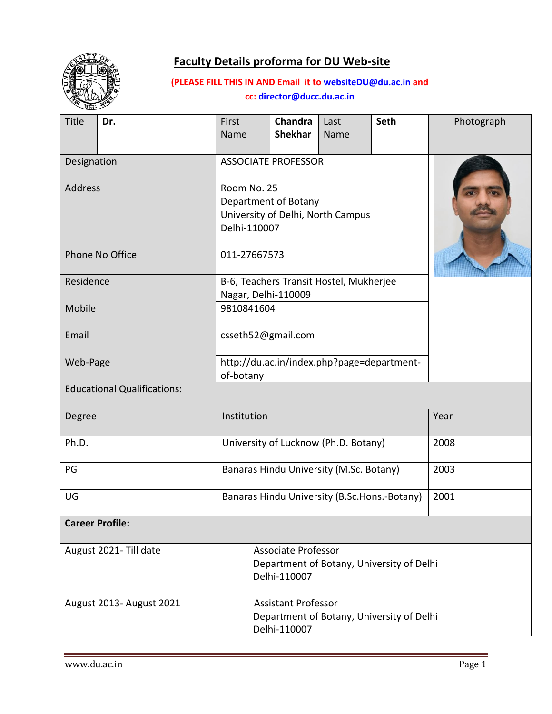



# **(PLEASE FILL THIS IN AND Email it to [websiteDU@du.ac.in](mailto:websiteDU@du.ac.in) and cc[: director@ducc.du.ac.in](mailto:director@ducc.du.ac.in)**

| Title                              | Dr.                      | First<br>Name                                                                            | <b>Chandra</b><br><b>Shekhar</b> | Last<br>Name | <b>Seth</b> | Photograph |  |
|------------------------------------|--------------------------|------------------------------------------------------------------------------------------|----------------------------------|--------------|-------------|------------|--|
| Designation                        |                          | <b>ASSOCIATE PROFESSOR</b>                                                               |                                  |              |             |            |  |
| <b>Address</b>                     |                          | Room No. 25<br>Department of Botany<br>University of Delhi, North Campus<br>Delhi-110007 |                                  |              |             |            |  |
| Phone No Office                    |                          | 011-27667573                                                                             |                                  |              |             |            |  |
| Residence                          |                          | B-6, Teachers Transit Hostel, Mukherjee<br>Nagar, Delhi-110009                           |                                  |              |             |            |  |
| Mobile                             |                          | 9810841604                                                                               |                                  |              |             |            |  |
| Email                              |                          | csseth52@gmail.com                                                                       |                                  |              |             |            |  |
| Web-Page                           |                          | http://du.ac.in/index.php?page=department-<br>of-botany                                  |                                  |              |             |            |  |
| <b>Educational Qualifications:</b> |                          |                                                                                          |                                  |              |             |            |  |
| Degree                             | Institution              |                                                                                          |                                  | Year         |             |            |  |
| Ph.D.                              |                          | University of Lucknow (Ph.D. Botany)                                                     |                                  |              |             | 2008       |  |
| PG                                 |                          | Banaras Hindu University (M.Sc. Botany)                                                  |                                  |              |             | 2003       |  |
| UG                                 |                          | Banaras Hindu University (B.Sc.Hons.-Botany)                                             |                                  |              |             | 2001       |  |
| <b>Career Profile:</b>             |                          |                                                                                          |                                  |              |             |            |  |
|                                    | August 2021- Till date   | <b>Associate Professor</b><br>Department of Botany, University of Delhi<br>Delhi-110007  |                                  |              |             |            |  |
|                                    | August 2013- August 2021 | <b>Assistant Professor</b><br>Department of Botany, University of Delhi<br>Delhi-110007  |                                  |              |             |            |  |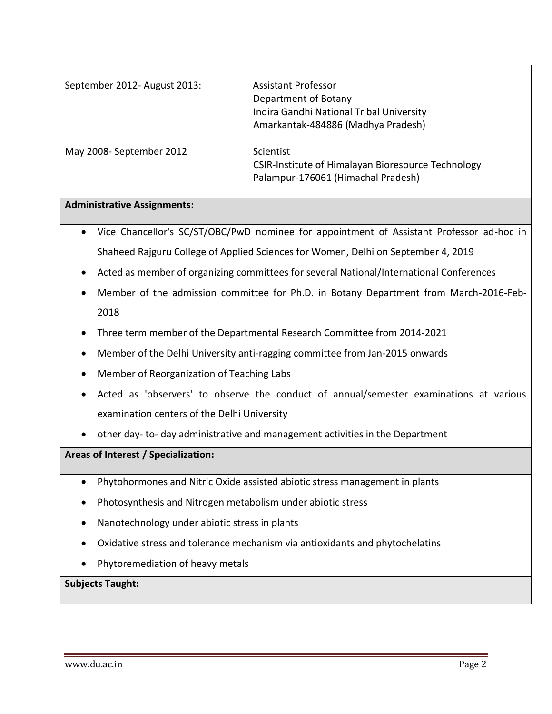| September 2012- August 2013: | Assistant Professor<br>Department of Botany<br>Indira Gandhi National Tribal University<br>Amarkantak-484886 (Madhya Pradesh) |
|------------------------------|-------------------------------------------------------------------------------------------------------------------------------|
| May 2008- September 2012     | Scientist<br>CSIR-Institute of Himalayan Bioresource Technology<br>Palampur-176061 (Himachal Pradesh)                         |

### **Administrative Assignments:**

- Vice Chancellor's SC/ST/OBC/PwD nominee for appointment of Assistant Professor ad-hoc in Shaheed Rajguru College of Applied Sciences for Women, Delhi on September 4, 2019
- Acted as member of organizing committees for several National/International Conferences
- Member of the admission committee for Ph.D. in Botany Department from March-2016-Feb-2018
- Three term member of the Departmental Research Committee from 2014-2021
- Member of the Delhi University anti-ragging committee from Jan-2015 onwards
- Member of Reorganization of Teaching Labs
- Acted as 'observers' to observe the conduct of annual/semester examinations at various examination centers of the Delhi University
- other day- to- day administrative and management activities in the Department

### **Areas of Interest / Specialization:**

- Phytohormones and Nitric Oxide assisted abiotic stress management in plants
- Photosynthesis and Nitrogen metabolism under abiotic stress
- Nanotechnology under abiotic stress in plants
- Oxidative stress and tolerance mechanism via antioxidants and phytochelatins
- Phytoremediation of heavy metals

#### **Subjects Taught:**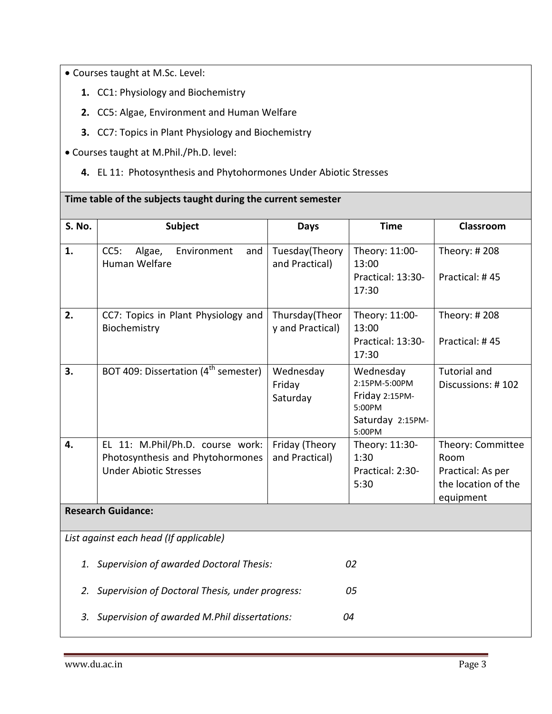Courses taught at M.Sc. Level:

- **1.** CC1: Physiology and Biochemistry
- **2.** CC5: Algae, Environment and Human Welfare
- **3.** CC7: Topics in Plant Physiology and Biochemistry

**Time table of the subjects taught during the current semester**

- Courses taught at M.Phil./Ph.D. level:
	- **4.** EL 11: Photosynthesis and Phytohormones Under Abiotic Stresses

| S. No.                                 | Subject                                                                                               | <b>Days</b>                        | <b>Time</b>                                                                          | Classroom                                                                          |  |  |  |
|----------------------------------------|-------------------------------------------------------------------------------------------------------|------------------------------------|--------------------------------------------------------------------------------------|------------------------------------------------------------------------------------|--|--|--|
| 1.                                     | CC5:<br>Algae,<br>Environment<br>and<br>Human Welfare                                                 | Tuesday(Theory<br>and Practical)   | Theory: 11:00-<br>13:00<br>Practical: 13:30-<br>17:30                                | Theory: #208<br>Practical: #45                                                     |  |  |  |
| 2.                                     | CC7: Topics in Plant Physiology and<br>Biochemistry                                                   | Thursday(Theor<br>y and Practical) | Theory: 11:00-<br>13:00<br>Practical: 13:30-<br>17:30                                | Theory: #208<br>Practical: #45                                                     |  |  |  |
| 3.                                     | BOT 409: Dissertation (4 <sup>th</sup> semester)                                                      | Wednesday<br>Friday<br>Saturday    | Wednesday<br>2:15PM-5:00PM<br>Friday 2:15PM-<br>5:00PM<br>Saturday 2:15PM-<br>5:00PM | <b>Tutorial and</b><br>Discussions: #102                                           |  |  |  |
| 4.                                     | EL 11: M.Phil/Ph.D. course work:<br>Photosynthesis and Phytohormones<br><b>Under Abiotic Stresses</b> | Friday (Theory<br>and Practical)   | Theory: 11:30-<br>1:30<br>Practical: 2:30-<br>5:30                                   | Theory: Committee<br>Room<br>Practical: As per<br>the location of the<br>equipment |  |  |  |
| <b>Research Guidance:</b>              |                                                                                                       |                                    |                                                                                      |                                                                                    |  |  |  |
| List against each head (If applicable) |                                                                                                       |                                    |                                                                                      |                                                                                    |  |  |  |
|                                        | 1. Supervision of awarded Doctoral Thesis:<br>02                                                      |                                    |                                                                                      |                                                                                    |  |  |  |
| 2.                                     | Supervision of Doctoral Thesis, under progress:<br>05                                                 |                                    |                                                                                      |                                                                                    |  |  |  |
|                                        | 3. Supervision of awarded M.Phil dissertations:<br>04                                                 |                                    |                                                                                      |                                                                                    |  |  |  |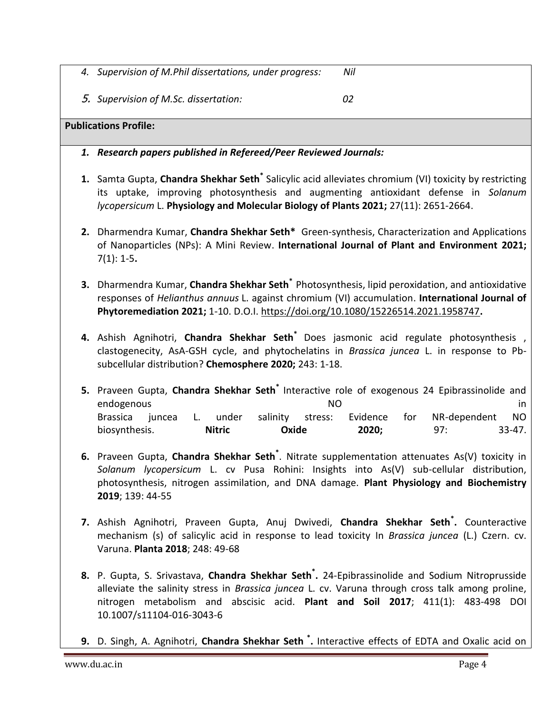- *4. Supervision of M.Phil dissertations, under progress: Nil*
- 5. *Supervision of M.Sc. dissertation: 02*

## **Publications Profile:**

- *1. Research papers published in Refereed/Peer Reviewed Journals:*
- **1.** Samta Gupta, **Chandra Shekhar Seth**<sup>\*</sup> Salicylic acid alleviates chromium (VI) toxicity by restricting its uptake, improving photosynthesis and augmenting antioxidant defense in *Solanum lycopersicum* L. **Physiology and Molecular Biology of Plants 2021;** 27(11): 2651-2664.
- **2.** Dharmendra Kumar, **Chandra Shekhar Seth\*** Green-synthesis, Characterization and Applications of Nanoparticles (NPs): A Mini Review. **International Journal of Plant and Environment 2021;**  7(1): 1-5**.**
- **3.** Dharmendra Kumar, **Chandra Shekhar Seth\*** Photosynthesis, lipid peroxidation, and antioxidative responses of *Helianthus annuus* L. against chromium (VI) accumulation. **International Journal of Phytoremediation 2021;** 1-10. D.O.I. <https://doi.org/10.1080/15226514.2021.1958747>**.**
- **4.** Ashish Agnihotri, **Chandra Shekhar Seth\*** Does jasmonic acid regulate photosynthesis , clastogenecity, AsA-GSH cycle, and phytochelatins in *Brassica juncea* L. in response to Pbsubcellular distribution? **Chemosphere 2020;** 243: 1-18.
- **5.** Praveen Gupta, **Chandra Shekhar Seth\*** Interactive role of exogenous 24 Epibrassinolide and endogenous and in the set of the set of the set of the set of the set of the set of the set of the set of the set of the set of the set of the set of the set of the set of the set of the set of the set of the set of the se Brassica juncea L. under salinity stress: Evidence for NR-dependent NO biosynthesis. **Nitric Oxide 2020;** 97: 33-47.
- **6.** Praveen Gupta, **Chandra Shekhar Seth\*** . Nitrate supplementation attenuates As(V) toxicity in *Solanum lycopersicum* L. cv Pusa Rohini: Insights into As(V) sub-cellular distribution, photosynthesis, nitrogen assimilation, and DNA damage. **Plant Physiology and Biochemistry 2019**; 139: 44-55
- **7.** Ashish Agnihotri, Praveen Gupta, Anuj Dwivedi, **Chandra Shekhar Seth\* .** Counteractive mechanism (s) of salicylic acid in response to lead toxicity In *Brassica juncea* (L.) Czern. cv. Varuna. **Planta 2018**; 248: 49-68
- **8.** P. Gupta, S. Srivastava, **Chandra Shekhar Seth\* .** 24-Epibrassinolide and Sodium Nitroprusside alleviate the salinity stress in *Brassica juncea* L. cv. Varuna through cross talk among proline, nitrogen metabolism and abscisic acid. **Plant and Soil 2017**; 411(1): 483-498 DOI 10.1007/s11104-016-3043-6
- **9.** D. Singh, A. Agnihotri, **Chandra Shekhar Seth \* .** Interactive effects of EDTA and Oxalic acid on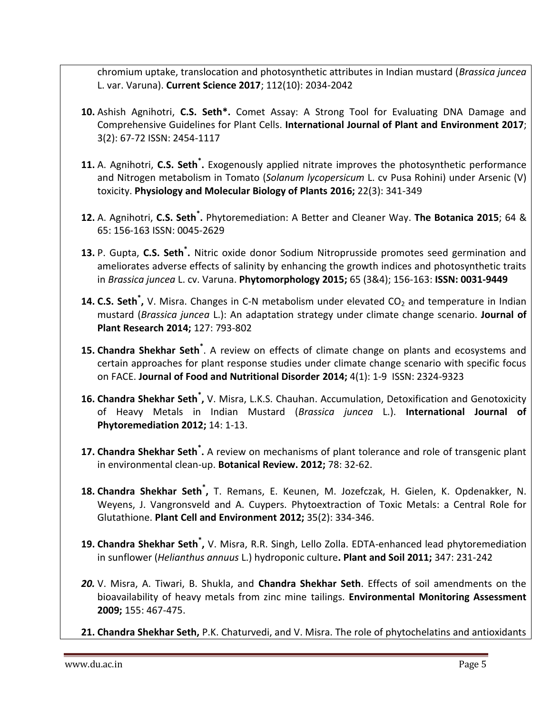chromium uptake, translocation and photosynthetic attributes in Indian mustard (*Brassica juncea* L. var. Varuna). **Current Science 2017**; 112(10): 2034-2042

- **10.** Ashish Agnihotri, **C.S. Seth\*.** Comet Assay: A Strong Tool for Evaluating DNA Damage and Comprehensive Guidelines for Plant Cells. **International Journal of Plant and Environment 2017**; 3(2): 67-72 ISSN: 2454-1117
- **11.** A. Agnihotri, **C.S. Seth\* .** Exogenously applied nitrate improves the photosynthetic performance and Nitrogen metabolism in Tomato (*Solanum lycopersicum* L. cv Pusa Rohini) under Arsenic (V) toxicity. **Physiology and Molecular Biology of Plants 2016;** 22(3): 341-349
- **12.** A. Agnihotri, **C.S. Seth\* .** Phytoremediation: A Better and Cleaner Way. **The Botanica 2015**; 64 & 65: 156-163 ISSN: 0045-2629
- **13.** P. Gupta, **C.S. Seth\* .** Nitric oxide donor Sodium Nitroprusside promotes seed germination and ameliorates adverse effects of salinity by enhancing the growth indices and photosynthetic traits in *Brassica juncea* L. cv. Varuna. **Phytomorphology 2015;** 65 (3&4); 156-163: **ISSN: 0031-9449**
- **14. C.S. Seth<sup>\*</sup>,** V. Misra. Changes in C-N metabolism under elevated CO<sub>2</sub> and temperature in Indian mustard (*Brassica juncea* L.): An adaptation strategy under climate change scenario. **Journal of Plant Research 2014;** 127: 793-802
- **15. Chandra Shekhar Seth\*** . A review on effects of climate change on plants and ecosystems and certain approaches for plant response studies under climate change scenario with specific focus on FACE. **Journal of Food and Nutritional Disorder 2014;** 4(1): 1-9 ISSN: 2324-9323
- **16. Chandra Shekhar Seth\* ,** V. Misra, L.K.S. Chauhan. Accumulation, Detoxification and Genotoxicity of Heavy Metals in Indian Mustard (*Brassica juncea* L.). **International Journal of Phytoremediation 2012;** 14: 1-13.
- **17. Chandra Shekhar Seth\* .** A review on mechanisms of plant tolerance and role of transgenic plant in environmental clean-up. **Botanical Review. 2012;** 78: 32-62.
- **18. Chandra Shekhar Seth\* ,** T. Remans, E. Keunen, M. Jozefczak, H. Gielen, K. Opdenakker, N. Weyens, J. Vangronsveld and A. Cuypers. Phytoextraction of Toxic Metals: a Central Role for Glutathione. **Plant Cell and Environment 2012;** 35(2): 334-346.
- **19. Chandra Shekhar Seth\* ,** V. Misra, R.R. Singh, Lello Zolla. EDTA-enhanced lead phytoremediation in sunflower (*Helianthus annuus* L.) hydroponic culture**. Plant and Soil 2011;** 347: 231-242
- *20.* V. Misra, A. Tiwari, B. Shukla, and **Chandra Shekhar Seth**. Effects of soil amendments on the bioavailability of heavy metals from zinc mine tailings. **Environmental Monitoring Assessment 2009;** 155: 467-475.
- **21. Chandra Shekhar Seth,** P.K. Chaturvedi, and V. Misra. The role of phytochelatins and antioxidants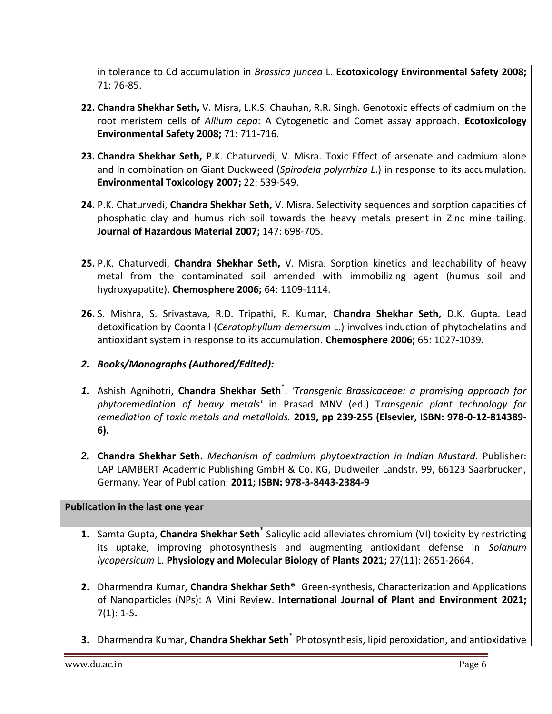in tolerance to Cd accumulation in *Brassica juncea* L. **Ecotoxicology Environmental Safety 2008;** 71: 76-85.

- **22. Chandra Shekhar Seth,** V. Misra, L.K.S. Chauhan, R.R. Singh. Genotoxic effects of cadmium on the root meristem cells of *Allium cepa*: A Cytogenetic and Comet assay approach. **Ecotoxicology Environmental Safety 2008;** 71: 711-716.
- **23. Chandra Shekhar Seth,** P.K. Chaturvedi, V. Misra. Toxic Effect of arsenate and cadmium alone and in combination on Giant Duckweed (*Spirodela polyrrhiza L*.) in response to its accumulation. **Environmental Toxicology 2007;** 22: 539-549.
- **24.** P.K. Chaturvedi, **Chandra Shekhar Seth,** V. Misra. Selectivity sequences and sorption capacities of phosphatic clay and humus rich soil towards the heavy metals present in Zinc mine tailing. **Journal of Hazardous Material 2007;** 147: 698-705.
- **25.** P.K. Chaturvedi, **Chandra Shekhar Seth,** V. Misra. Sorption kinetics and leachability of heavy metal from the contaminated soil amended with immobilizing agent (humus soil and hydroxyapatite). **Chemosphere 2006;** 64: 1109-1114.
- **26.** S. Mishra, S. Srivastava, R.D. Tripathi, R. Kumar, **Chandra Shekhar Seth,** D.K. Gupta. Lead detoxification by Coontail (*Ceratophyllum demersum* L.) involves induction of phytochelatins and antioxidant system in response to its accumulation. **Chemosphere 2006;** 65: 1027-1039.
- *2. Books/Monographs (Authored/Edited):*
- *1.* Ashish Agnihotri, **Chandra Shekhar Seth\*** . *'Transgenic Brassicaceae: a promising approach for phytoremediation of heavy metals'* in Prasad MNV (ed.) T*ransgenic plant technology for remediation of toxic metals and metalloids.* **2019, pp 239-255 (Elsevier, ISBN: 978-0-12-814389- 6).**
- *2.* **Chandra Shekhar Seth.** *Mechanism of cadmium phytoextraction in Indian Mustard.* Publisher: LAP LAMBERT Academic Publishing GmbH & Co. KG, Dudweiler Landstr. 99, 66123 Saarbrucken, Germany. Year of Publication: **2011; ISBN: 978-3-8443-2384-9**

## **Publication in the last one year**

- **1.** Samta Gupta, **Chandra Shekhar Seth\*** Salicylic acid alleviates chromium (VI) toxicity by restricting its uptake, improving photosynthesis and augmenting antioxidant defense in *Solanum lycopersicum* L. **Physiology and Molecular Biology of Plants 2021;** 27(11): 2651-2664.
- **2.** Dharmendra Kumar, **Chandra Shekhar Seth\*** Green-synthesis, Characterization and Applications of Nanoparticles (NPs): A Mini Review. **International Journal of Plant and Environment 2021;**  7(1): 1-5**.**
- **3.** Dharmendra Kumar, **Chandra Shekhar Seth\*** Photosynthesis, lipid peroxidation, and antioxidative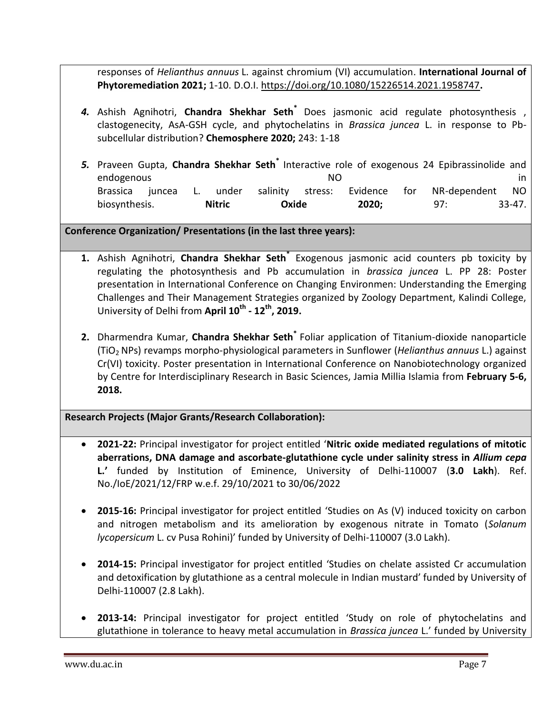responses of *Helianthus annuus* L. against chromium (VI) accumulation. **International Journal of Phytoremediation 2021;** 1-10. D.O.I. <https://doi.org/10.1080/15226514.2021.1958747>**.**

- *4.* Ashish Agnihotri, **Chandra Shekhar Seth\*** Does jasmonic acid regulate photosynthesis , clastogenecity, AsA-GSH cycle, and phytochelatins in *Brassica juncea* L. in response to Pbsubcellular distribution? **Chemosphere 2020;** 243: 1-18
- *5.* Praveen Gupta, **Chandra Shekhar Seth\*** Interactive role of exogenous 24 Epibrassinolide and endogenous and in the set of the set of the set of the set of the set of the set of the set of the set of the s Brassica juncea L. under salinity stress: Evidence for NR-dependent NO biosynthesis. **Nitric Oxide 2020;** 97: 33-47.

# **Conference Organization/ Presentations (in the last three years):**

- **1.** Ashish Agnihotri, **Chandra Shekhar Seth\*** Exogenous jasmonic acid counters pb toxicity by regulating the photosynthesis and Pb accumulation in *brassica juncea* L. PP 28: Poster presentation in International Conference on Changing Environmen: Understanding the Emerging Challenges and Their Management Strategies organized by Zoology Department, Kalindi College, University of Delhi from **April 10th - 12th, 2019.**
- **2.** Dharmendra Kumar, **Chandra Shekhar Seth\*** Foliar application of Titanium-dioxide nanoparticle (TiO2 NPs) revamps morpho-physiological parameters in Sunflower (*Helianthus annuus* L.) against Cr(VI) toxicity. Poster presentation in International Conference on Nanobiotechnology organized by Centre for Interdisciplinary Research in Basic Sciences, Jamia Millia Islamia from **February 5-6, 2018.**

**Research Projects (Major Grants/Research Collaboration):**

- **2021-22:** Principal investigator for project entitled '**Nitric oxide mediated regulations of mitotic aberrations, DNA damage and ascorbate-glutathione cycle under salinity stress in** *Allium cepa* **L.'** funded by Institution of Eminence, University of Delhi-110007 (**3.0 Lakh**). Ref. No./IoE/2021/12/FRP w.e.f. 29/10/2021 to 30/06/2022
- **2015-16:** Principal investigator for project entitled 'Studies on As (V) induced toxicity on carbon and nitrogen metabolism and its amelioration by exogenous nitrate in Tomato (*Solanum lycopersicum* L. cv Pusa Rohini)' funded by University of Delhi-110007 (3.0 Lakh).
- **2014-15:** Principal investigator for project entitled 'Studies on chelate assisted Cr accumulation and detoxification by glutathione as a central molecule in Indian mustard' funded by University of Delhi-110007 (2.8 Lakh).
- **2013-14:** Principal investigator for project entitled 'Study on role of phytochelatins and glutathione in tolerance to heavy metal accumulation in *Brassica juncea* L.' funded by University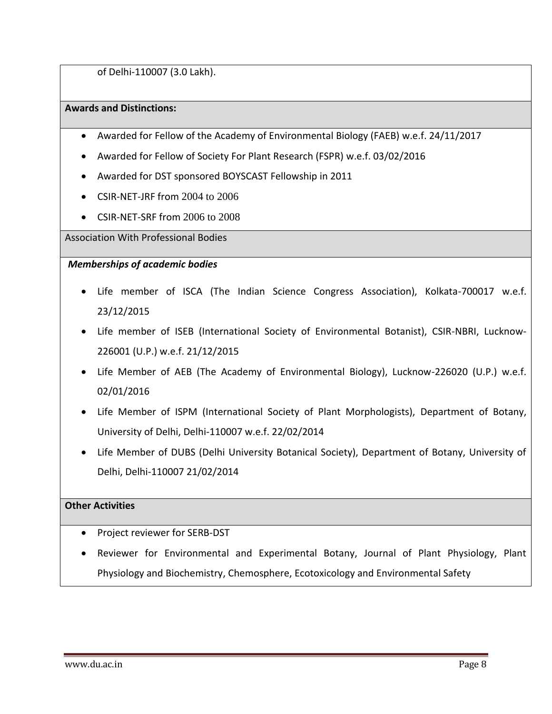of Delhi-110007 (3.0 Lakh).

### **Awards and Distinctions:**

- Awarded for Fellow of the Academy of Environmental Biology (FAEB) w.e.f. 24/11/2017
- Awarded for Fellow of Society For Plant Research (FSPR) w.e.f. 03/02/2016
- Awarded for DST sponsored BOYSCAST Fellowship in 2011
- CSIR-NET-JRF from 2004 to 2006
- CSIR-NET-SRF from 2006 to 2008

Association With Professional Bodies

## *Memberships of academic bodies*

- Life member of ISCA (The Indian Science Congress Association), Kolkata-700017 w.e.f. 23/12/2015
- Life member of ISEB (International Society of Environmental Botanist), CSIR-NBRI, Lucknow-226001 (U.P.) w.e.f. 21/12/2015
- Life Member of AEB (The Academy of Environmental Biology), Lucknow-226020 (U.P.) w.e.f. 02/01/2016
- Life Member of ISPM (International Society of Plant Morphologists), Department of Botany, University of Delhi, Delhi-110007 w.e.f. 22/02/2014
- Life Member of DUBS (Delhi University Botanical Society), Department of Botany, University of Delhi, Delhi-110007 21/02/2014

# **Other Activities**

- Project reviewer for SERB-DST
- Reviewer for Environmental and Experimental Botany, Journal of Plant Physiology, Plant Physiology and Biochemistry, Chemosphere, Ecotoxicology and Environmental Safety